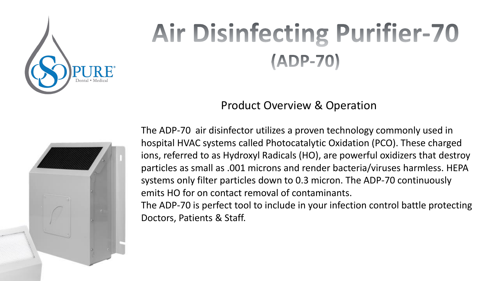

# **Air Disinfecting Purifier-70** (ADP-70)

Product Overview & Operation



The ADP-70 air disinfector utilizes a proven technology commonly used in hospital HVAC systems called Photocatalytic Oxidation (PCO). These charged ions, referred to as Hydroxyl Radicals (HO), are powerful oxidizers that destroy particles as small as .001 microns and render bacteria/viruses harmless. HEPA systems only filter particles down to 0.3 micron. The ADP-70 continuously emits HO for on contact removal of contaminants.

The ADP-70 is perfect tool to include in your infection control battle protecting Doctors, Patients & Staff.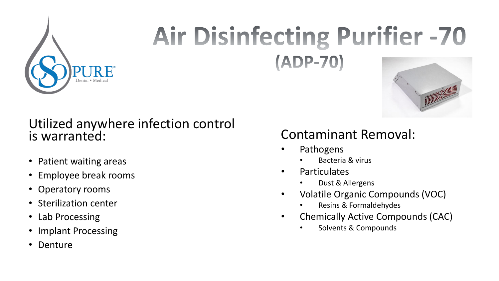

## **Air Disinfecting Purifier -70** (ADP-70)

#### Utilized anywhere infection control is warranted:

- Patient waiting areas
- Employee break rooms
- Operatory rooms
- Sterilization center
- Lab Processing
- Implant Processing
- Denture

#### Contaminant Removal:

- Pathogens
	- Bacteria & virus
- Particulates
	- Dust & Allergens
- Volatile Organic Compounds (VOC)
	- Resins & Formaldehydes
- Chemically Active Compounds (CAC)
	- Solvents & Compounds